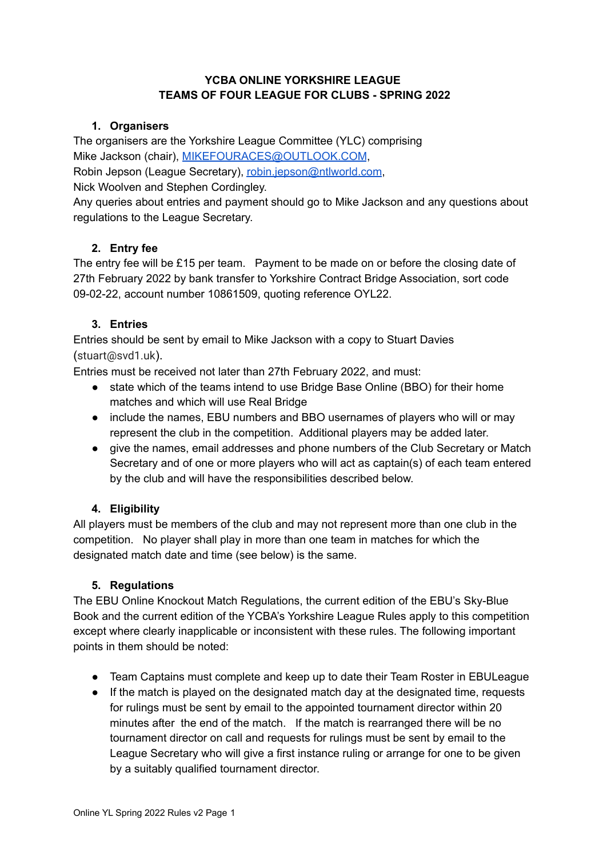## **YCBA ONLINE YORKSHIRE LEAGUE TEAMS OF FOUR LEAGUE FOR CLUBS - SPRING 2022**

## **1. Organisers**

The organisers are the Yorkshire League Committee (YLC) comprising Mike Jackson (chair), [MIKEFOURACES@OUTLOOK.COM](mailto:MIKEFOURACES@OUTLOOK.COM),

Robin Jepson (League Secretary), [robin.jepson@ntlworld.com](mailto:robin.jepson@ntlworld.com),

Nick Woolven and Stephen Cordingley.

Any queries about entries and payment should go to Mike Jackson and any questions about regulations to the League Secretary.

## **2. Entry fee**

The entry fee will be £15 per team. Payment to be made on or before the closing date of 27th February 2022 by bank transfer to Yorkshire Contract Bridge Association, sort code 09-02-22, account number 10861509, quoting reference OYL22.

## **3. Entries**

Entries should be sent by email to Mike Jackson with a copy to Stuart Davies (stuart@svd1.uk).

Entries must be received not later than 27th February 2022, and must:

- state which of the teams intend to use Bridge Base Online (BBO) for their home matches and which will use Real Bridge
- include the names, EBU numbers and BBO usernames of players who will or may represent the club in the competition. Additional players may be added later.
- give the names, email addresses and phone numbers of the Club Secretary or Match Secretary and of one or more players who will act as captain(s) of each team entered by the club and will have the responsibilities described below.

# **4. Eligibility**

All players must be members of the club and may not represent more than one club in the competition. No player shall play in more than one team in matches for which the designated match date and time (see below) is the same.

## **5. Regulations**

The EBU Online Knockout Match Regulations, the current edition of the EBU's Sky-Blue Book and the current edition of the YCBA's Yorkshire League Rules apply to this competition except where clearly inapplicable or inconsistent with these rules. The following important points in them should be noted:

- Team Captains must complete and keep up to date their Team Roster in EBULeague
- If the match is played on the designated match day at the designated time, requests for rulings must be sent by email to the appointed tournament director within 20 minutes after the end of the match. If the match is rearranged there will be no tournament director on call and requests for rulings must be sent by email to the League Secretary who will give a first instance ruling or arrange for one to be given by a suitably qualified tournament director.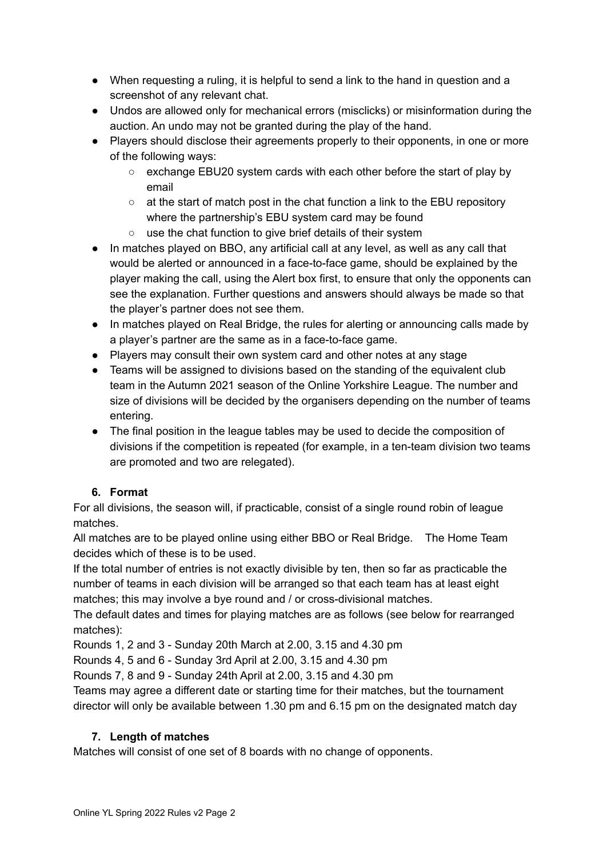- When requesting a ruling, it is helpful to send a link to the hand in question and a screenshot of any relevant chat.
- Undos are allowed only for mechanical errors (misclicks) or misinformation during the auction. An undo may not be granted during the play of the hand.
- Players should disclose their agreements properly to their opponents, in one or more of the following ways:
	- exchange EBU20 system cards with each other before the start of play by email
	- $\circ$  at the start of match post in the chat function a link to the EBU repository where the partnership's EBU system card may be found
	- use the chat function to give brief details of their system
- In matches played on BBO, any artificial call at any level, as well as any call that would be alerted or announced in a face-to-face game, should be explained by the player making the call, using the Alert box first, to ensure that only the opponents can see the explanation. Further questions and answers should always be made so that the player's partner does not see them.
- In matches played on Real Bridge, the rules for alerting or announcing calls made by a player's partner are the same as in a face-to-face game.
- Players may consult their own system card and other notes at any stage
- Teams will be assigned to divisions based on the standing of the equivalent club team in the Autumn 2021 season of the Online Yorkshire League. The number and size of divisions will be decided by the organisers depending on the number of teams entering.
- The final position in the league tables may be used to decide the composition of divisions if the competition is repeated (for example, in a ten-team division two teams are promoted and two are relegated).

# **6. Format**

For all divisions, the season will, if practicable, consist of a single round robin of league matches.

All matches are to be played online using either BBO or Real Bridge. The Home Team decides which of these is to be used.

If the total number of entries is not exactly divisible by ten, then so far as practicable the number of teams in each division will be arranged so that each team has at least eight matches; this may involve a bye round and / or cross-divisional matches.

The default dates and times for playing matches are as follows (see below for rearranged matches):

Rounds 1, 2 and 3 - Sunday 20th March at 2.00, 3.15 and 4.30 pm

Rounds 4, 5 and 6 - Sunday 3rd April at 2.00, 3.15 and 4.30 pm

Rounds 7, 8 and 9 - Sunday 24th April at 2.00, 3.15 and 4.30 pm

Teams may agree a different date or starting time for their matches, but the tournament director will only be available between 1.30 pm and 6.15 pm on the designated match day

# **7. Length of matches**

Matches will consist of one set of 8 boards with no change of opponents.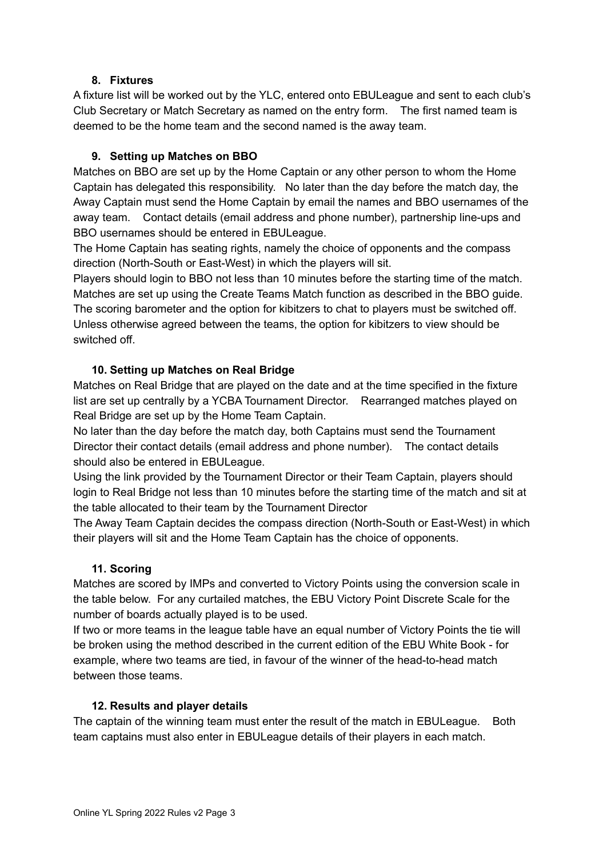#### **8. Fixtures**

A fixture list will be worked out by the YLC, entered onto EBULeague and sent to each club's Club Secretary or Match Secretary as named on the entry form. The first named team is deemed to be the home team and the second named is the away team.

## **9. Setting up Matches on BBO**

Matches on BBO are set up by the Home Captain or any other person to whom the Home Captain has delegated this responsibility. No later than the day before the match day, the Away Captain must send the Home Captain by email the names and BBO usernames of the away team. Contact details (email address and phone number), partnership line-ups and BBO usernames should be entered in EBULeague.

The Home Captain has seating rights, namely the choice of opponents and the compass direction (North-South or East-West) in which the players will sit.

Players should login to BBO not less than 10 minutes before the starting time of the match. Matches are set up using the Create Teams Match function as described in the BBO guide. The scoring barometer and the option for kibitzers to chat to players must be switched off. Unless otherwise agreed between the teams, the option for kibitzers to view should be switched off.

## **10. Setting up Matches on Real Bridge**

Matches on Real Bridge that are played on the date and at the time specified in the fixture list are set up centrally by a YCBA Tournament Director. Rearranged matches played on Real Bridge are set up by the Home Team Captain.

No later than the day before the match day, both Captains must send the Tournament Director their contact details (email address and phone number). The contact details should also be entered in EBULeague.

Using the link provided by the Tournament Director or their Team Captain, players should login to Real Bridge not less than 10 minutes before the starting time of the match and sit at the table allocated to their team by the Tournament Director

The Away Team Captain decides the compass direction (North-South or East-West) in which their players will sit and the Home Team Captain has the choice of opponents.

## **11. Scoring**

Matches are scored by IMPs and converted to Victory Points using the conversion scale in the table below. For any curtailed matches, the EBU Victory Point Discrete Scale for the number of boards actually played is to be used.

If two or more teams in the league table have an equal number of Victory Points the tie will be broken using the method described in the current edition of the EBU White Book - for example, where two teams are tied, in favour of the winner of the head-to-head match between those teams.

## **12. Results and player details**

The captain of the winning team must enter the result of the match in EBULeague. Both team captains must also enter in EBULeague details of their players in each match.